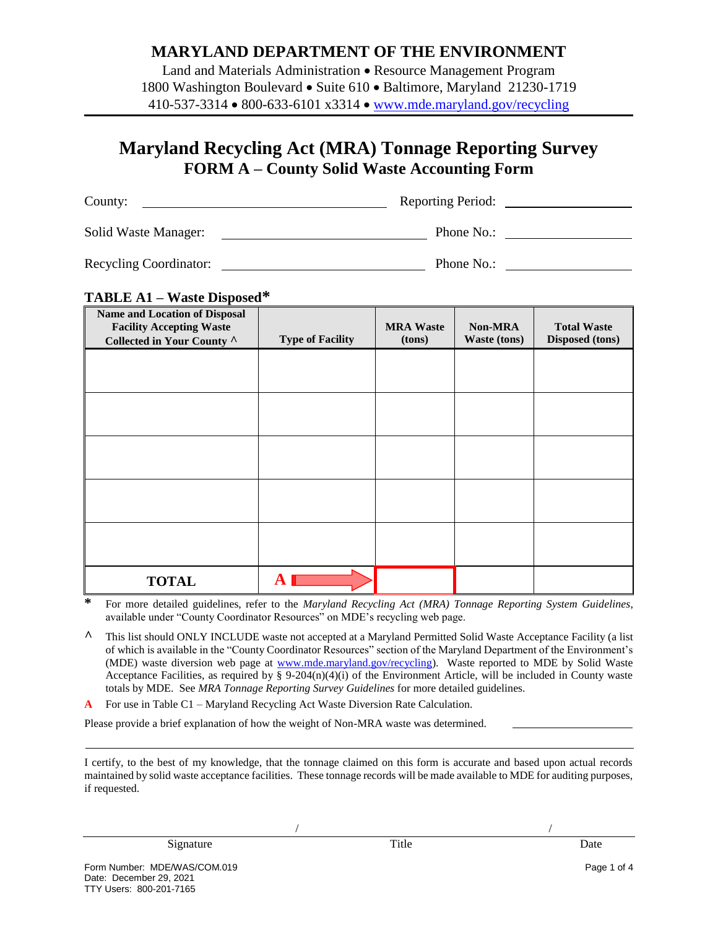### **MARYLAND DEPARTMENT OF THE ENVIRONMENT**

Land and Materials Administration • Resource Management Program 1800 Washington Boulevard • Suite 610 • Baltimore, Maryland 21230-1719 410-537-3314 800-633-6101 x3314 [www.mde.maryland.gov/recycling](http://www.mde.maryland.gov/recycling)

## **Maryland Recycling Act (MRA) Tonnage Reporting Survey FORM A – County Solid Waste Accounting Form**

| County:                | <b>Reporting Period:</b> |
|------------------------|--------------------------|
| Solid Waste Manager:   | Phone No.:               |
| Recycling Coordinator: | Phone No.:               |

#### **TABLE A1 – Waste Disposed\***

| <b>Name and Location of Disposal</b><br><b>Facility Accepting Waste</b> |                         | <b>MRA Waste</b> | <b>Non-MRA</b> | <b>Total Waste</b> |
|-------------------------------------------------------------------------|-------------------------|------------------|----------------|--------------------|
| Collected in Your County ^                                              | <b>Type of Facility</b> | (tons)           | Waste (tons)   | Disposed (tons)    |
|                                                                         |                         |                  |                |                    |
|                                                                         |                         |                  |                |                    |
|                                                                         |                         |                  |                |                    |
|                                                                         |                         |                  |                |                    |
|                                                                         |                         |                  |                |                    |
|                                                                         |                         |                  |                |                    |
|                                                                         |                         |                  |                |                    |
|                                                                         |                         |                  |                |                    |
|                                                                         |                         |                  |                |                    |
|                                                                         |                         |                  |                |                    |
|                                                                         |                         |                  |                |                    |
|                                                                         |                         |                  |                |                    |
|                                                                         |                         |                  |                |                    |
|                                                                         |                         |                  |                |                    |
|                                                                         |                         |                  |                |                    |
| <b>TOTAL</b>                                                            |                         |                  |                |                    |

**\*** For more detailed guidelines, refer to the *Maryland Recycling Act (MRA) Tonnage Reporting System Guidelines*, available under "County Coordinator Resources" on MDE's recycling web page.

**^** This list should ONLY INCLUDE waste not accepted at a Maryland Permitted Solid Waste Acceptance Facility (a list of which is available in the "County Coordinator Resources" section of the Maryland Department of the Environment's (MDE) waste diversion web page at [www.mde.maryland.gov/recycling\)](http://www.mde.maryland.gov/recycling). Waste reported to MDE by Solid Waste Acceptance Facilities, as required by §  $9-204(n)(4)(i)$  of the Environment Article, will be included in County waste totals by MDE. See *MRA Tonnage Reporting Survey Guidelines* for more detailed guidelines.

For use in Table C1 – Maryland Recycling Act Waste Diversion Rate Calculation.

Please provide a brief explanation of how the weight of Non-MRA waste was determined.

I certify, to the best of my knowledge, that the tonnage claimed on this form is accurate and based upon actual records maintained by solid waste acceptance facilities. These tonnage records will be made available to MDE for auditing purposes, if requested.

/ /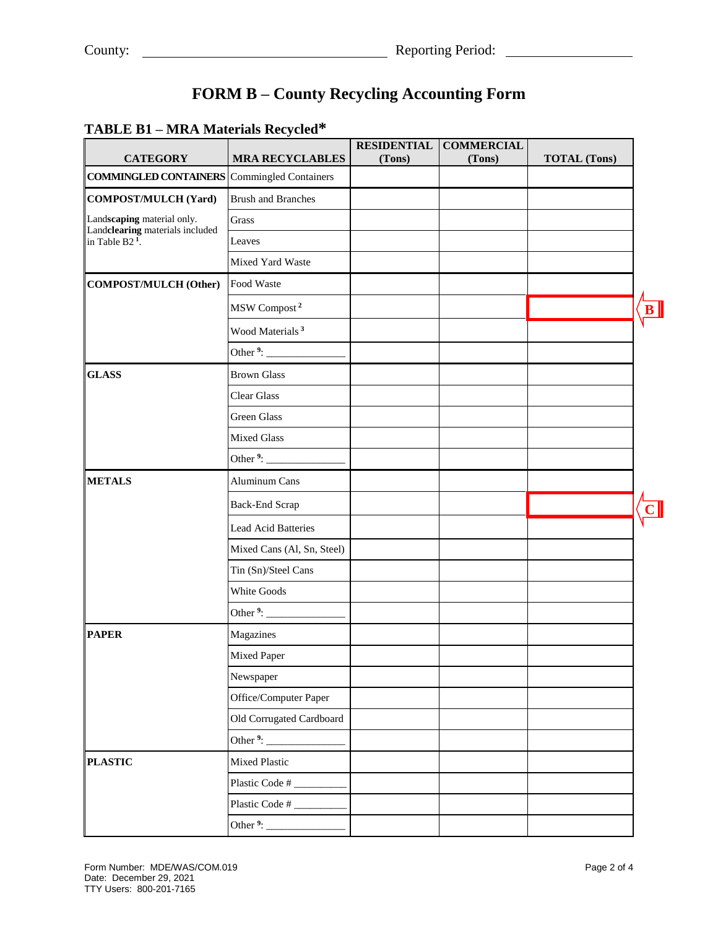# **FORM B – County Recycling Accounting Form**

### **TABLE B1 – MRA Materials Recycled\***

| <b>CATEGORY</b>                                               | <b>Example 2020 Contract of the contract of the contract of the contract of the contract of the contract of the c</b><br><b>MRA RECYCLABLES</b> | <b>RESIDENTIAL</b><br>(Tons) | <b>COMMERCIAL</b><br>(Tons) | <b>TOTAL</b> (Tons) |  |
|---------------------------------------------------------------|-------------------------------------------------------------------------------------------------------------------------------------------------|------------------------------|-----------------------------|---------------------|--|
| <b>COMMINGLED CONTAINERS</b> Commingled Containers            |                                                                                                                                                 |                              |                             |                     |  |
| <b>COMPOST/MULCH (Yard)</b>                                   | <b>Brush and Branches</b>                                                                                                                       |                              |                             |                     |  |
| Landscaping material only.                                    | Grass                                                                                                                                           |                              |                             |                     |  |
| Landclearing materials included<br>in Table B2 <sup>1</sup> . | Leaves                                                                                                                                          |                              |                             |                     |  |
|                                                               | Mixed Yard Waste                                                                                                                                |                              |                             |                     |  |
| <b>COMPOST/MULCH (Other)</b>                                  | Food Waste                                                                                                                                      |                              |                             |                     |  |
|                                                               | MSW Compost <sup>2</sup>                                                                                                                        |                              |                             |                     |  |
|                                                               | Wood Materials <sup>3</sup>                                                                                                                     |                              |                             |                     |  |
|                                                               | Other $9:$                                                                                                                                      |                              |                             |                     |  |
| <b>GLASS</b>                                                  | <b>Brown Glass</b>                                                                                                                              |                              |                             |                     |  |
|                                                               | <b>Clear Glass</b>                                                                                                                              |                              |                             |                     |  |
|                                                               | Green Glass                                                                                                                                     |                              |                             |                     |  |
|                                                               | <b>Mixed Glass</b>                                                                                                                              |                              |                             |                     |  |
|                                                               | Other <sup>9</sup> :                                                                                                                            |                              |                             |                     |  |
| <b>METALS</b>                                                 | Aluminum Cans                                                                                                                                   |                              |                             |                     |  |
|                                                               | <b>Back-End Scrap</b>                                                                                                                           |                              |                             |                     |  |
|                                                               | Lead Acid Batteries                                                                                                                             |                              |                             |                     |  |
|                                                               | Mixed Cans (Al, Sn, Steel)                                                                                                                      |                              |                             |                     |  |
|                                                               | Tin (Sn)/Steel Cans                                                                                                                             |                              |                             |                     |  |
|                                                               | White Goods                                                                                                                                     |                              |                             |                     |  |
|                                                               | Other <sup>9</sup> :                                                                                                                            |                              |                             |                     |  |
| <b>PAPER</b>                                                  | Magazines                                                                                                                                       |                              |                             |                     |  |
|                                                               | Mixed Paper                                                                                                                                     |                              |                             |                     |  |
|                                                               | Newspaper                                                                                                                                       |                              |                             |                     |  |
|                                                               | Office/Computer Paper                                                                                                                           |                              |                             |                     |  |
|                                                               | Old Corrugated Cardboard                                                                                                                        |                              |                             |                     |  |
|                                                               |                                                                                                                                                 |                              |                             |                     |  |
| <b>PLASTIC</b>                                                | Mixed Plastic                                                                                                                                   |                              |                             |                     |  |
|                                                               | Plastic Code #                                                                                                                                  |                              |                             |                     |  |
|                                                               | Plastic Code #                                                                                                                                  |                              |                             |                     |  |
|                                                               | Other <sup>9</sup> : $\frac{1}{2}$                                                                                                              |                              |                             |                     |  |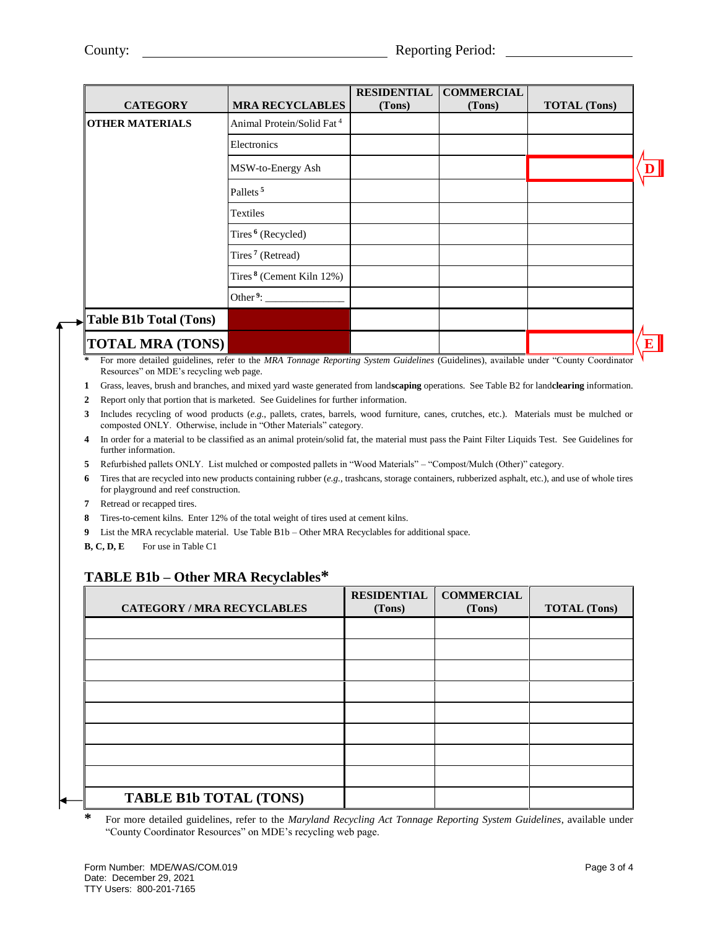| <b>CATEGORY</b>                                                                                                                                             | <b>MRA RECYCLABLES</b>                                                                                                                                                                                                                                                                                                                                                      | <b>RESIDENTIAL</b><br>(Tons)                                   | <b>COMMERCIAL</b><br>(Tons) | <b>TOTAL</b> (Tons) |  |
|-------------------------------------------------------------------------------------------------------------------------------------------------------------|-----------------------------------------------------------------------------------------------------------------------------------------------------------------------------------------------------------------------------------------------------------------------------------------------------------------------------------------------------------------------------|----------------------------------------------------------------|-----------------------------|---------------------|--|
| <b>OTHER MATERIALS</b>                                                                                                                                      | Animal Protein/Solid Fat <sup>4</sup>                                                                                                                                                                                                                                                                                                                                       |                                                                |                             |                     |  |
|                                                                                                                                                             | Electronics                                                                                                                                                                                                                                                                                                                                                                 |                                                                |                             |                     |  |
|                                                                                                                                                             | MSW-to-Energy Ash                                                                                                                                                                                                                                                                                                                                                           |                                                                |                             |                     |  |
|                                                                                                                                                             | Pallets <sup>5</sup>                                                                                                                                                                                                                                                                                                                                                        |                                                                |                             |                     |  |
|                                                                                                                                                             | Textiles                                                                                                                                                                                                                                                                                                                                                                    |                                                                |                             |                     |  |
|                                                                                                                                                             | Tires <sup>6</sup> (Recycled)                                                                                                                                                                                                                                                                                                                                               |                                                                |                             |                     |  |
|                                                                                                                                                             | Tires <sup>7</sup> (Retread)                                                                                                                                                                                                                                                                                                                                                |                                                                |                             |                     |  |
|                                                                                                                                                             | Tires <sup>8</sup> (Cement Kiln $12\%$ )                                                                                                                                                                                                                                                                                                                                    |                                                                |                             |                     |  |
|                                                                                                                                                             | Other <sup>9</sup> :                                                                                                                                                                                                                                                                                                                                                        |                                                                |                             |                     |  |
| $\blacktriangleright$ Table B1b Total (Tons)                                                                                                                |                                                                                                                                                                                                                                                                                                                                                                             |                                                                |                             |                     |  |
| <b>TOTAL MRA (TONS)</b><br>$\sim$ $\sim$<br>the contract of the contract of the contract of the contract of the contract of the contract of the contract of | $\mathcal{L}$ $\mathcal{L}$ $\mathcal{L}$ $\mathcal{L}$ $\mathcal{L}$ $\mathcal{L}$ $\mathcal{L}$ $\mathcal{L}$ $\mathcal{L}$ $\mathcal{L}$ $\mathcal{L}$ $\mathcal{L}$ $\mathcal{L}$ $\mathcal{L}$ $\mathcal{L}$ $\mathcal{L}$ $\mathcal{L}$ $\mathcal{L}$ $\mathcal{L}$ $\mathcal{L}$ $\mathcal{L}$ $\mathcal{L}$ $\mathcal{L}$ $\mathcal{L}$ $\mathcal{$<br>$\mathbf{r}$ | $\sim$ $\cdot$ $\cdot$ $\sim$<br>$\mathbf{a}$ and $\mathbf{a}$ | (0.12.1)                    | $1111$ $1140$ $121$ |  |

**\*** For more detailed guidelines, refer to the *MRA Tonnage Reporting System Guidelines* (Guidelines), available under "County Coordinator Resources" on MDE's recycling web page.

**1** Grass, leaves, brush and branches, and mixed yard waste generated from land**scaping** operations. See Table B2 for land**clearing** information.

**2** Report only that portion that is marketed. See Guidelines for further information.

**3** Includes recycling of wood products (*e.g.*, pallets, crates, barrels, wood furniture, canes, crutches, etc.). Materials must be mulched or composted ONLY. Otherwise, include in "Other Materials" category.

**4** In order for a material to be classified as an animal protein/solid fat, the material must pass the Paint Filter Liquids Test. See Guidelines for further information.

**5** Refurbished pallets ONLY. List mulched or composted pallets in "Wood Materials" – "Compost/Mulch (Other)" category.

**6** Tires that are recycled into new products containing rubber (*e.g.*, trashcans, storage containers, rubberized asphalt, etc.), and use of whole tires for playground and reef construction.

**7** Retread or recapped tires.

**8** Tires-to-cement kilns. Enter 12% of the total weight of tires used at cement kilns.

**9** List the MRA recyclable material. Use Table B1b – Other MRA Recyclables for additional space.

**B, C, D, E** For use in Table C1

### **TABLE B1b – Other MRA Recyclables\***

| <b>CATEGORY / MRA RECYCLABLES</b> | <b>RESIDENTIAL</b><br>(Tons) | <b>COMMERCIAL</b><br>(Tons) | <b>TOTAL</b> (Tons) |
|-----------------------------------|------------------------------|-----------------------------|---------------------|
|                                   |                              |                             |                     |
|                                   |                              |                             |                     |
|                                   |                              |                             |                     |
|                                   |                              |                             |                     |
|                                   |                              |                             |                     |
|                                   |                              |                             |                     |
|                                   |                              |                             |                     |
|                                   |                              |                             |                     |
| <b>TABLE B1b TOTAL (TONS)</b>     |                              |                             |                     |

**\*** For more detailed guidelines, refer to the *Maryland Recycling Act Tonnage Reporting System Guidelines*, available under "County Coordinator Resources" on MDE's recycling web page.